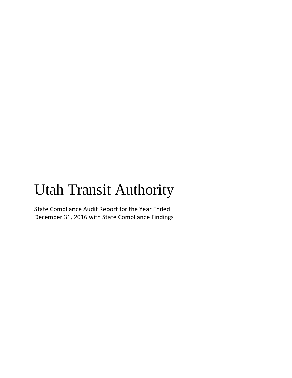# Utah Transit Authority

State Compliance Audit Report for the Year Ended December 31, 2016 with State Compliance Findings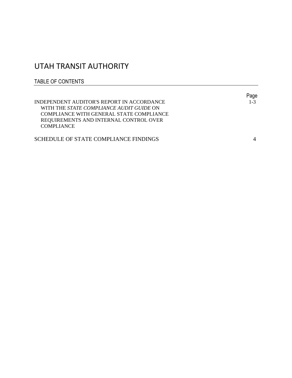# UTAH TRANSIT AUTHORITY

## TABLE OF CONTENTS

|                                                 | Page    |
|-------------------------------------------------|---------|
| INDEPENDENT AUDITOR'S REPORT IN ACCORDANCE      | $1 - 3$ |
| WITH THE <i>STATE COMPLIANCE AUDIT GUIDE</i> ON |         |
| COMPLIANCE WITH GENERAL STATE COMPLIANCE        |         |
| REQUIREMENTS AND INTERNAL CONTROL OVER          |         |
| COMPLIANCE                                      |         |
|                                                 |         |
| SCHEDULE OF STATE COMPLIANCE FINDINGS           |         |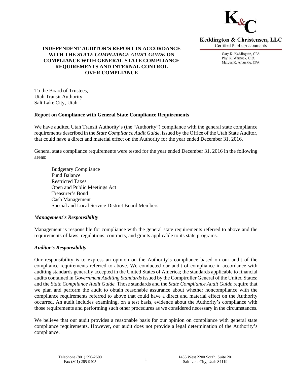

Keddington & Christensen, LLC **Certified Public Accountants** 

> Gary K. Keddington, CPA Phyl R. Warnock, CPA Marcus K. Arbuckle, CPA

### **INDEPENDENT AUDITOR'S REPORT IN ACCORDANCE WITH THE** *STATE COMPLIANCE AUDIT GUIDE* **ON COMPLIANCE WITH GENERAL STATE COMPLIANCE REQUIREMENTS AND INTERNAL CONTROL OVER COMPLIANCE**

To the Board of Trustees, Utah Transit Authority Salt Lake City, Utah

#### **Report on Compliance with General State Compliance Requirements**

We have audited Utah Transit Authority's (the "Authority") compliance with the general state compliance requirements described in the *State Compliance Audit Guide,* issued by the Office of the Utah State Auditor, that could have a direct and material effect on the Authority for the year ended December 31, 2016.

General state compliance requirements were tested for the year ended December 31, 2016 in the following areas:

 Budgetary Compliance Fund Balance Restricted Taxes Open and Public Meetings Act Treasurer's Bond Cash Management Special and Local Service District Board Members

#### *Management's Responsibility*

Management is responsible for compliance with the general state requirements referred to above and the requirements of laws, regulations, contracts, and grants applicable to its state programs.

#### *Auditor's Responsibility*

Our responsibility is to express an opinion on the Authority's compliance based on our audit of the compliance requirements referred to above. We conducted our audit of compliance in accordance with auditing standards generally accepted in the United States of America; the standards applicable to financial audits contained in *Government Auditing Standards* issued by the Comptroller General of the United States; and the *State Compliance Audit Guide.* Those standards and the *State Compliance Audit Guide* require that we plan and perform the audit to obtain reasonable assurance about whether noncompliance with the compliance requirements referred to above that could have a direct and material effect on the Authority occurred. An audit includes examining, on a test basis, evidence about the Authority's compliance with those requirements and performing such other procedures as we considered necessary in the circumstances.

We believe that our audit provides a reasonable basis for our opinion on compliance with general state compliance requirements. However, our audit does not provide a legal determination of the Authority's compliance.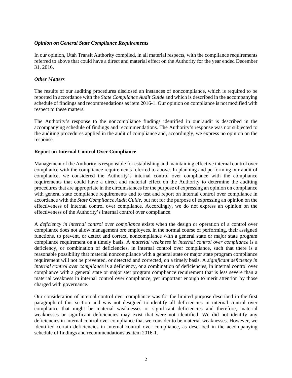#### *Opinion on General State Compliance Requirements*

In our opinion, Utah Transit Authority complied, in all material respects, with the compliance requirements referred to above that could have a direct and material effect on the Authority for the year ended December 31, 2016.

#### *Other Matters*

The results of our auditing procedures disclosed an instances of noncompliance, which is required to be reported in accordance with the *State Compliance Audit Guide* and which is described in the accompanying schedule of findings and recommendations as item 2016-1. Our opinion on compliance is not modified with respect to these matters.

The Authority's response to the noncompliance findings identified in our audit is described in the accompanying schedule of findings and recommendations. The Authority's response was not subjected to the auditing procedures applied in the audit of compliance and, accordingly, we express no opinion on the response.

#### **Report on Internal Control Over Compliance**

Management of the Authority is responsible for establishing and maintaining effective internal control over compliance with the compliance requirements referred to above. In planning and performing our audit of compliance, we considered the Authority's internal control over compliance with the compliance requirements that could have a direct and material effect on the Authority to determine the auditing procedures that are appropriate in the circumstances for the purpose of expressing an opinion on compliance with general state compliance requirements and to test and report on internal control over compliance in accordance with the *State Compliance Audit Guide,* but not for the purpose of expressing an opinion on the effectiveness of internal control over compliance. Accordingly, we do not express an opinion on the effectiveness of the Authority's internal control over compliance.

A *deficiency in internal control over compliance* exists when the design or operation of a control over compliance does not allow management ore employees, in the normal course of performing, their assigned functions, to prevent, or detect and correct, noncompliance with a general state or major state program compliance requirement on a timely basis. A *material weakness in internal control over compliance* is a deficiency, or combination of deficiencies, in internal control over compliance, such that there is a reasonable possibility that material noncompliance with a general state or major state program compliance requirement will not be prevented, or detected and corrected, on a timely basis. A *significant deficiency in internal control over compliance* is a deficiency, or a combination of deficiencies, in internal control over compliance with a general state or major stet program compliance requirement that is less severe than a material weakness in internal control over compliance, yet important enough to merit attention by those charged with governance.

Our consideration of internal control over compliance was for the limited purpose described in the first paragraph of this section and was not designed to identify all deficiencies in internal control over compliance that might be material weaknesses or significant deficiencies and therefore, material weaknesses or significant deficiencies may exist that were not identified. We did not identify any deficiencies in internal control over compliance that we consider to be material weaknesses. However, we identified certain deficiencies in internal control over compliance, as described in the accompanying schedule of findings and recommendations as item 2016-1.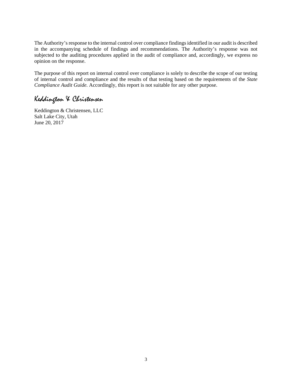The Authority's response to the internal control over compliance findings identified in our audit is described in the accompanying schedule of findings and recommendations. The Authority's response was not subjected to the auditing procedures applied in the audit of compliance and, accordingly, we express no opinion on the response.

The purpose of this report on internal control over compliance is solely to describe the scope of our testing of internal control and compliance and the results of that testing based on the requirements of the *State Compliance Audit Guide.* Accordingly, this report is not suitable for any other purpose.

# Keddington & Christensen

Keddington & Christensen, LLC Salt Lake City, Utah June 20, 2017